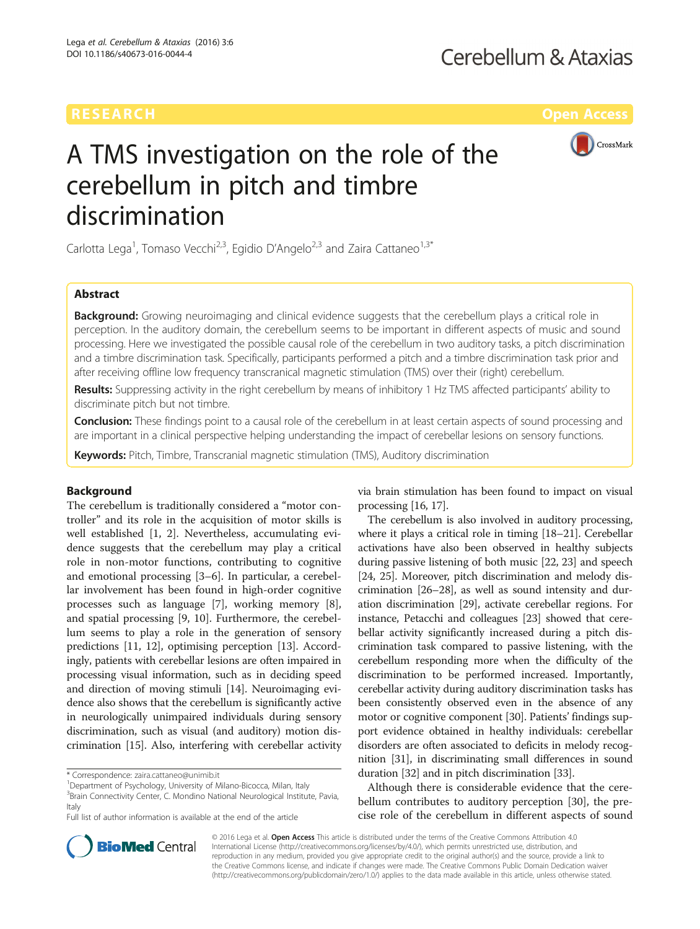# RESEARCH **RESEARCH CONSUMING THE CONSUMING THE CONSUMING TENS**



# A TMS investigation on the role of the cerebellum in pitch and timbre discrimination

Carlotta Lega<sup>1</sup>, Tomaso Vecchi<sup>2,3</sup>, Egidio D'Angelo<sup>2,3</sup> and Zaira Cattaneo<sup>1,3\*</sup>

## Abstract

**Background:** Growing neuroimaging and clinical evidence suggests that the cerebellum plays a critical role in perception. In the auditory domain, the cerebellum seems to be important in different aspects of music and sound processing. Here we investigated the possible causal role of the cerebellum in two auditory tasks, a pitch discrimination and a timbre discrimination task. Specifically, participants performed a pitch and a timbre discrimination task prior and after receiving offline low frequency transcranical magnetic stimulation (TMS) over their (right) cerebellum.

Results: Suppressing activity in the right cerebellum by means of inhibitory 1 Hz TMS affected participants' ability to discriminate pitch but not timbre.

Conclusion: These findings point to a causal role of the cerebellum in at least certain aspects of sound processing and are important in a clinical perspective helping understanding the impact of cerebellar lesions on sensory functions.

Keywords: Pitch, Timbre, Transcranial magnetic stimulation (TMS), Auditory discrimination

## Background

The cerebellum is traditionally considered a "motor controller" and its role in the acquisition of motor skills is well established [\[1](#page-5-0), [2\]](#page-5-0). Nevertheless, accumulating evidence suggests that the cerebellum may play a critical role in non-motor functions, contributing to cognitive and emotional processing [\[3](#page-5-0)–[6\]](#page-5-0). In particular, a cerebellar involvement has been found in high-order cognitive processes such as language [\[7](#page-5-0)], working memory [\[8](#page-5-0)], and spatial processing [[9](#page-5-0), [10\]](#page-5-0). Furthermore, the cerebellum seems to play a role in the generation of sensory predictions [\[11, 12\]](#page-5-0), optimising perception [\[13\]](#page-5-0). Accordingly, patients with cerebellar lesions are often impaired in processing visual information, such as in deciding speed and direction of moving stimuli [\[14](#page-5-0)]. Neuroimaging evidence also shows that the cerebellum is significantly active in neurologically unimpaired individuals during sensory discrimination, such as visual (and auditory) motion discrimination [\[15\]](#page-5-0). Also, interfering with cerebellar activity

via brain stimulation has been found to impact on visual processing [[16](#page-5-0), [17\]](#page-5-0).

The cerebellum is also involved in auditory processing, where it plays a critical role in timing [\[18](#page-5-0)–[21](#page-5-0)]. Cerebellar activations have also been observed in healthy subjects during passive listening of both music [[22](#page-5-0), [23\]](#page-5-0) and speech [[24](#page-5-0), [25\]](#page-5-0). Moreover, pitch discrimination and melody discrimination [\[26](#page-5-0)–[28](#page-5-0)], as well as sound intensity and duration discrimination [[29](#page-5-0)], activate cerebellar regions. For instance, Petacchi and colleagues [[23](#page-5-0)] showed that cerebellar activity significantly increased during a pitch discrimination task compared to passive listening, with the cerebellum responding more when the difficulty of the discrimination to be performed increased. Importantly, cerebellar activity during auditory discrimination tasks has been consistently observed even in the absence of any motor or cognitive component [\[30\]](#page-5-0). Patients' findings support evidence obtained in healthy individuals: cerebellar disorders are often associated to deficits in melody recognition [[31\]](#page-5-0), in discriminating small differences in sound duration [[32](#page-5-0)] and in pitch discrimination [\[33\]](#page-5-0).

Although there is considerable evidence that the cerebellum contributes to auditory perception [\[30](#page-5-0)], the precise role of the cerebellum in different aspects of sound



© 2016 Lega et al. Open Access This article is distributed under the terms of the Creative Commons Attribution 4.0 International License [\(http://creativecommons.org/licenses/by/4.0/](http://creativecommons.org/licenses/by/4.0/)), which permits unrestricted use, distribution, and reproduction in any medium, provided you give appropriate credit to the original author(s) and the source, provide a link to the Creative Commons license, and indicate if changes were made. The Creative Commons Public Domain Dedication waiver [\(http://creativecommons.org/publicdomain/zero/1.0/](http://creativecommons.org/publicdomain/zero/1.0/)) applies to the data made available in this article, unless otherwise stated.

<sup>\*</sup> Correspondence: [zaira.cattaneo@unimib.it](mailto:zaira.cattaneo@unimib.it) <sup>1</sup>

<sup>&</sup>lt;sup>1</sup>Department of Psychology, University of Milano-Bicocca, Milan, Italy

<sup>&</sup>lt;sup>3</sup> Brain Connectivity Center, C. Mondino National Neurological Institute, Pavia, Italy

Full list of author information is available at the end of the article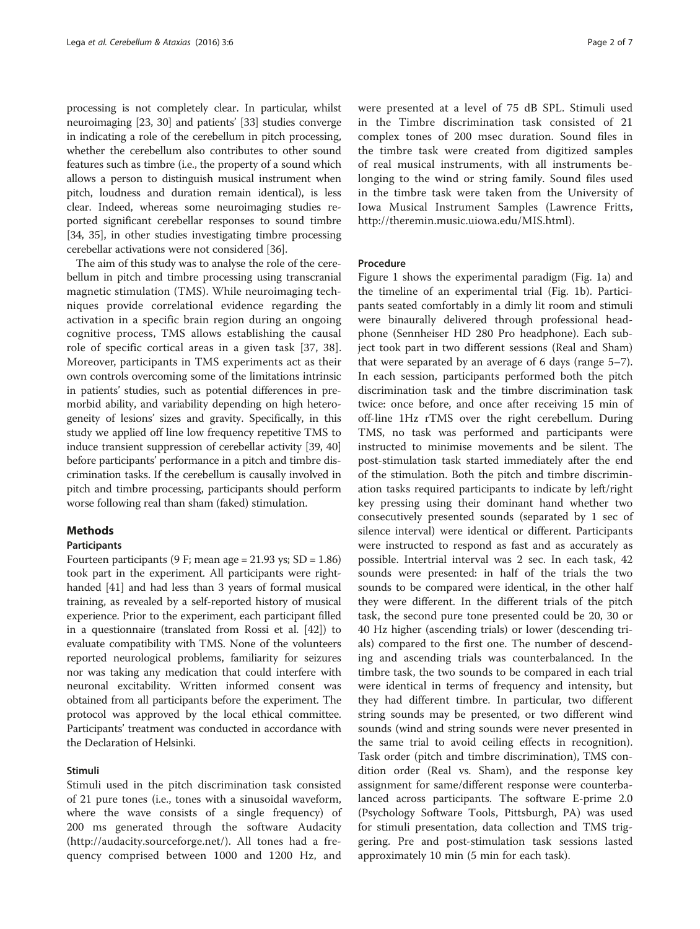processing is not completely clear. In particular, whilst neuroimaging [\[23](#page-5-0), [30](#page-5-0)] and patients' [[33](#page-5-0)] studies converge in indicating a role of the cerebellum in pitch processing, whether the cerebellum also contributes to other sound features such as timbre (i.e., the property of a sound which allows a person to distinguish musical instrument when pitch, loudness and duration remain identical), is less clear. Indeed, whereas some neuroimaging studies reported significant cerebellar responses to sound timbre [[34](#page-5-0), [35](#page-5-0)], in other studies investigating timbre processing cerebellar activations were not considered [[36](#page-5-0)].

The aim of this study was to analyse the role of the cerebellum in pitch and timbre processing using transcranial magnetic stimulation (TMS). While neuroimaging techniques provide correlational evidence regarding the activation in a specific brain region during an ongoing cognitive process, TMS allows establishing the causal role of specific cortical areas in a given task [\[37](#page-5-0), [38](#page-5-0)]. Moreover, participants in TMS experiments act as their own controls overcoming some of the limitations intrinsic in patients' studies, such as potential differences in premorbid ability, and variability depending on high heterogeneity of lesions' sizes and gravity. Specifically, in this study we applied off line low frequency repetitive TMS to induce transient suppression of cerebellar activity [[39, 40](#page-5-0)] before participants' performance in a pitch and timbre discrimination tasks. If the cerebellum is causally involved in pitch and timbre processing, participants should perform worse following real than sham (faked) stimulation.

## Methods

#### Participants

Fourteen participants (9 F; mean age =  $21.93$  ys; SD =  $1.86$ ) took part in the experiment. All participants were righthanded [\[41\]](#page-6-0) and had less than 3 years of formal musical training, as revealed by a self-reported history of musical experience. Prior to the experiment, each participant filled in a questionnaire (translated from Rossi et al. [\[42\]](#page-6-0)) to evaluate compatibility with TMS. None of the volunteers reported neurological problems, familiarity for seizures nor was taking any medication that could interfere with neuronal excitability. Written informed consent was obtained from all participants before the experiment. The protocol was approved by the local ethical committee. Participants' treatment was conducted in accordance with the Declaration of Helsinki.

#### Stimuli

Stimuli used in the pitch discrimination task consisted of 21 pure tones (i.e., tones with a sinusoidal waveform, where the wave consists of a single frequency) of 200 ms generated through the software Audacity (<http://audacity.sourceforge.net/>). All tones had a frequency comprised between 1000 and 1200 Hz, and were presented at a level of 75 dB SPL. Stimuli used in the Timbre discrimination task consisted of 21 complex tones of 200 msec duration. Sound files in the timbre task were created from digitized samples of real musical instruments, with all instruments belonging to the wind or string family. Sound files used in the timbre task were taken from the University of Iowa Musical Instrument Samples (Lawrence Fritts, [http://theremin.music.uiowa.edu/MIS.html\)](http://theremin.music.uiowa.edu/MIS.html).

## Procedure

Figure [1](#page-2-0) shows the experimental paradigm (Fig. [1a\)](#page-2-0) and the timeline of an experimental trial (Fig. [1b\)](#page-2-0). Participants seated comfortably in a dimly lit room and stimuli were binaurally delivered through professional headphone (Sennheiser HD 280 Pro headphone). Each subject took part in two different sessions (Real and Sham) that were separated by an average of 6 days (range 5–7). In each session, participants performed both the pitch discrimination task and the timbre discrimination task twice: once before, and once after receiving 15 min of off-line 1Hz rTMS over the right cerebellum. During TMS, no task was performed and participants were instructed to minimise movements and be silent. The post-stimulation task started immediately after the end of the stimulation. Both the pitch and timbre discrimination tasks required participants to indicate by left/right key pressing using their dominant hand whether two consecutively presented sounds (separated by 1 sec of silence interval) were identical or different. Participants were instructed to respond as fast and as accurately as possible. Intertrial interval was 2 sec. In each task, 42 sounds were presented: in half of the trials the two sounds to be compared were identical, in the other half they were different. In the different trials of the pitch task, the second pure tone presented could be 20, 30 or 40 Hz higher (ascending trials) or lower (descending trials) compared to the first one. The number of descending and ascending trials was counterbalanced. In the timbre task, the two sounds to be compared in each trial were identical in terms of frequency and intensity, but they had different timbre. In particular, two different string sounds may be presented, or two different wind sounds (wind and string sounds were never presented in the same trial to avoid ceiling effects in recognition). Task order (pitch and timbre discrimination), TMS condition order (Real vs. Sham), and the response key assignment for same/different response were counterbalanced across participants. The software E-prime 2.0 (Psychology Software Tools, Pittsburgh, PA) was used for stimuli presentation, data collection and TMS triggering. Pre and post-stimulation task sessions lasted approximately 10 min (5 min for each task).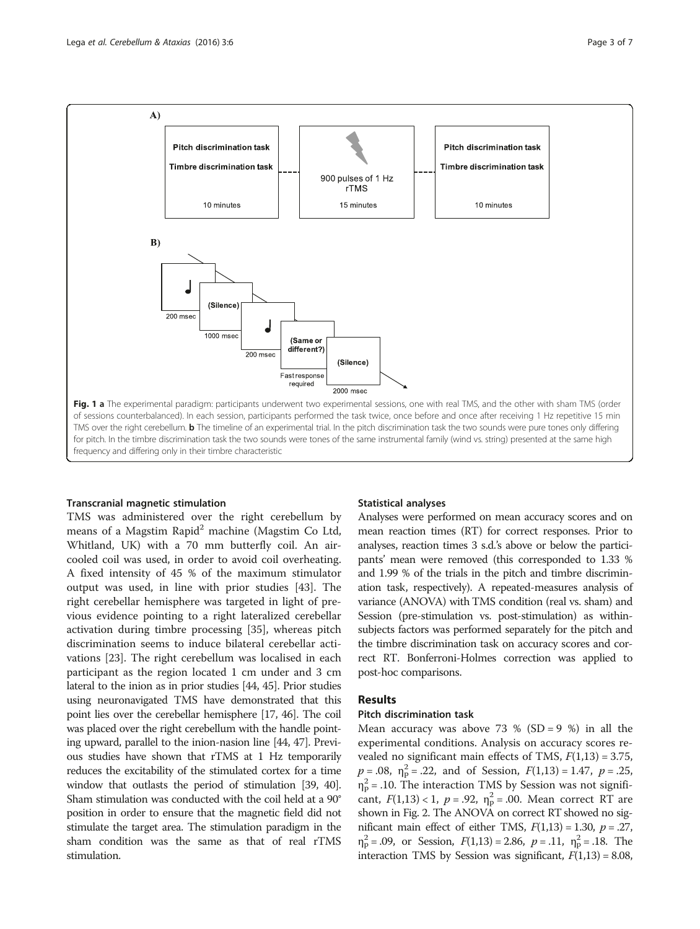<span id="page-2-0"></span>

#### Transcranial magnetic stimulation

TMS was administered over the right cerebellum by means of a Magstim Rapid<sup>2</sup> machine (Magstim Co Ltd, Whitland, UK) with a 70 mm butterfly coil. An aircooled coil was used, in order to avoid coil overheating. A fixed intensity of 45 % of the maximum stimulator output was used, in line with prior studies [\[43\]](#page-6-0). The right cerebellar hemisphere was targeted in light of previous evidence pointing to a right lateralized cerebellar activation during timbre processing [\[35](#page-5-0)], whereas pitch discrimination seems to induce bilateral cerebellar activations [\[23](#page-5-0)]. The right cerebellum was localised in each participant as the region located 1 cm under and 3 cm lateral to the inion as in prior studies [\[44, 45\]](#page-6-0). Prior studies using neuronavigated TMS have demonstrated that this point lies over the cerebellar hemisphere [\[17](#page-5-0), [46](#page-6-0)]. The coil was placed over the right cerebellum with the handle pointing upward, parallel to the inion-nasion line [[44, 47](#page-6-0)]. Previous studies have shown that rTMS at 1 Hz temporarily reduces the excitability of the stimulated cortex for a time window that outlasts the period of stimulation [[39](#page-5-0), [40](#page-5-0)]. Sham stimulation was conducted with the coil held at a 90° position in order to ensure that the magnetic field did not stimulate the target area. The stimulation paradigm in the sham condition was the same as that of real rTMS stimulation.

#### Statistical analyses

Analyses were performed on mean accuracy scores and on mean reaction times (RT) for correct responses. Prior to analyses, reaction times 3 s.d.'s above or below the participants' mean were removed (this corresponded to 1.33 % and 1.99 % of the trials in the pitch and timbre discrimination task, respectively). A repeated-measures analysis of variance (ANOVA) with TMS condition (real vs. sham) and Session (pre-stimulation vs. post-stimulation) as withinsubjects factors was performed separately for the pitch and the timbre discrimination task on accuracy scores and correct RT. Bonferroni-Holmes correction was applied to post-hoc comparisons.

## Results

## Pitch discrimination task

Mean accuracy was above 73 % (SD = 9 %) in all the experimental conditions. Analysis on accuracy scores revealed no significant main effects of TMS,  $F(1,13) = 3.75$ ,  $p = .08$ ,  $\eta_p^2 = .22$ , and of Session,  $F(1,13) = 1.47$ ,  $p = .25$ ,  $\eta_{\rm p}^2$  = .10. The interaction TMS by Session was not significant,  $F(1,13) < 1$ ,  $p = .92$ ,  $\eta_p^2 = .00$ . Mean correct RT are shown in Fig. [2](#page-3-0). The ANOVA on correct RT showed no significant main effect of either TMS,  $F(1,13) = 1.30$ ,  $p = .27$ ,  $\eta_p^2 = .09$ , or Session,  $F(1,13) = 2.86$ ,  $p = .11$ ,  $\eta_p^2 = .18$ . The interaction TMS by Session was significant,  $F(1,13) = 8.08$ ,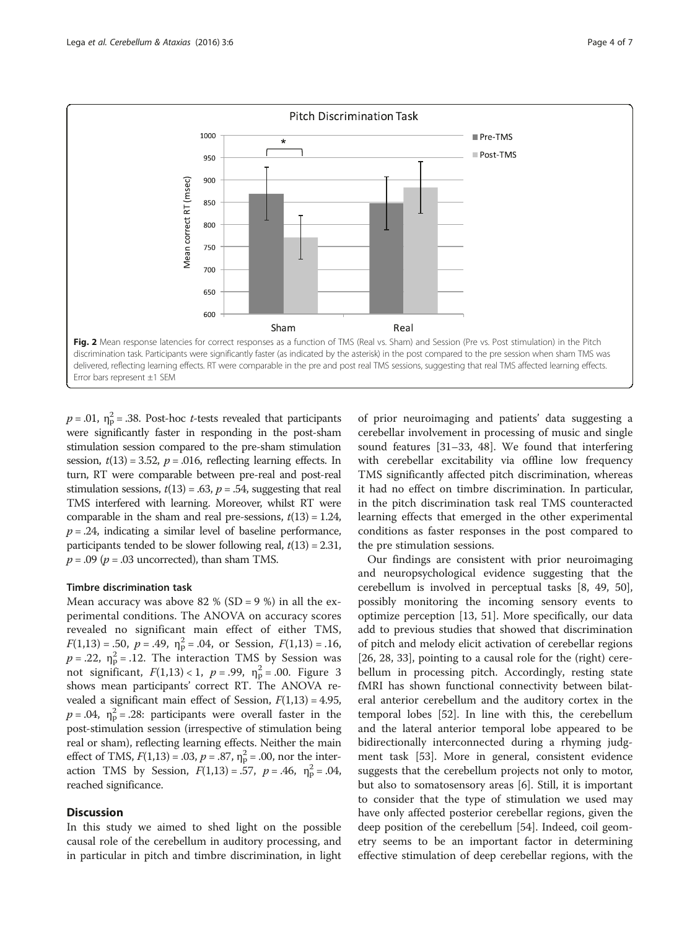<span id="page-3-0"></span>

 $p = .01$ ,  $\eta_{\rm p}^2 = .38$ . Post-hoc *t*-tests revealed that participants were significantly faster in responding in the post-sham stimulation session compared to the pre-sham stimulation session,  $t(13) = 3.52$ ,  $p = .016$ , reflecting learning effects. In turn, RT were comparable between pre-real and post-real stimulation sessions,  $t(13) = .63$ ,  $p = .54$ , suggesting that real TMS interfered with learning. Moreover, whilst RT were comparable in the sham and real pre-sessions,  $t(13) = 1.24$ ,  $p = .24$ , indicating a similar level of baseline performance, participants tended to be slower following real,  $t(13) = 2.31$ ,  $p = .09$  ( $p = .03$  uncorrected), than sham TMS.

#### Timbre discrimination task

Mean accuracy was above 82 % (SD = 9 %) in all the experimental conditions. The ANOVA on accuracy scores revealed no significant main effect of either TMS,  $F(1,13) = .50$ ,  $p = .49$ ,  $\eta_{\rm p}^2 = .04$ , or Session,  $F(1,13) = .16$ ,  $p = .22$ ,  $\eta_{\rm p}^2 = .12$ . The interaction TMS by Session was not significant,  $F(1,13) < 1$ ,  $p = .99$ ,  $\eta_p^2 = .00$ . Figure [3](#page-4-0) shows mean participants' correct RT. The ANOVA revealed a significant main effect of Session,  $F(1,13) = 4.95$ ,  $p = .04$ ,  $\eta_{\rm p}^2 = .28$ : participants were overall faster in the post-stimulation session (irrespective of stimulation being real or sham), reflecting learning effects. Neither the main effect of TMS,  $F(1,13) = .03$ ,  $p = .87$ ,  $\eta_{\rm p}^2 = .00$ , nor the interaction TMS by Session,  $F(1,13) = .57$ ,  $p = .46$ ,  $\eta_p^2 = .04$ , reached significance.

## **Discussion**

In this study we aimed to shed light on the possible causal role of the cerebellum in auditory processing, and in particular in pitch and timbre discrimination, in light of prior neuroimaging and patients' data suggesting a cerebellar involvement in processing of music and single sound features [\[31](#page-5-0)–[33,](#page-5-0) [48\]](#page-6-0). We found that interfering with cerebellar excitability via offline low frequency TMS significantly affected pitch discrimination, whereas it had no effect on timbre discrimination. In particular, in the pitch discrimination task real TMS counteracted learning effects that emerged in the other experimental conditions as faster responses in the post compared to the pre stimulation sessions.

Our findings are consistent with prior neuroimaging and neuropsychological evidence suggesting that the cerebellum is involved in perceptual tasks [\[8](#page-5-0), [49](#page-6-0), [50](#page-6-0)], possibly monitoring the incoming sensory events to optimize perception [[13,](#page-5-0) [51](#page-6-0)]. More specifically, our data add to previous studies that showed that discrimination of pitch and melody elicit activation of cerebellar regions [[26, 28, 33\]](#page-5-0), pointing to a causal role for the (right) cerebellum in processing pitch. Accordingly, resting state fMRI has shown functional connectivity between bilateral anterior cerebellum and the auditory cortex in the temporal lobes [[52\]](#page-6-0). In line with this, the cerebellum and the lateral anterior temporal lobe appeared to be bidirectionally interconnected during a rhyming judgment task [[53\]](#page-6-0). More in general, consistent evidence suggests that the cerebellum projects not only to motor, but also to somatosensory areas [[6\]](#page-5-0). Still, it is important to consider that the type of stimulation we used may have only affected posterior cerebellar regions, given the deep position of the cerebellum [[54\]](#page-6-0). Indeed, coil geometry seems to be an important factor in determining effective stimulation of deep cerebellar regions, with the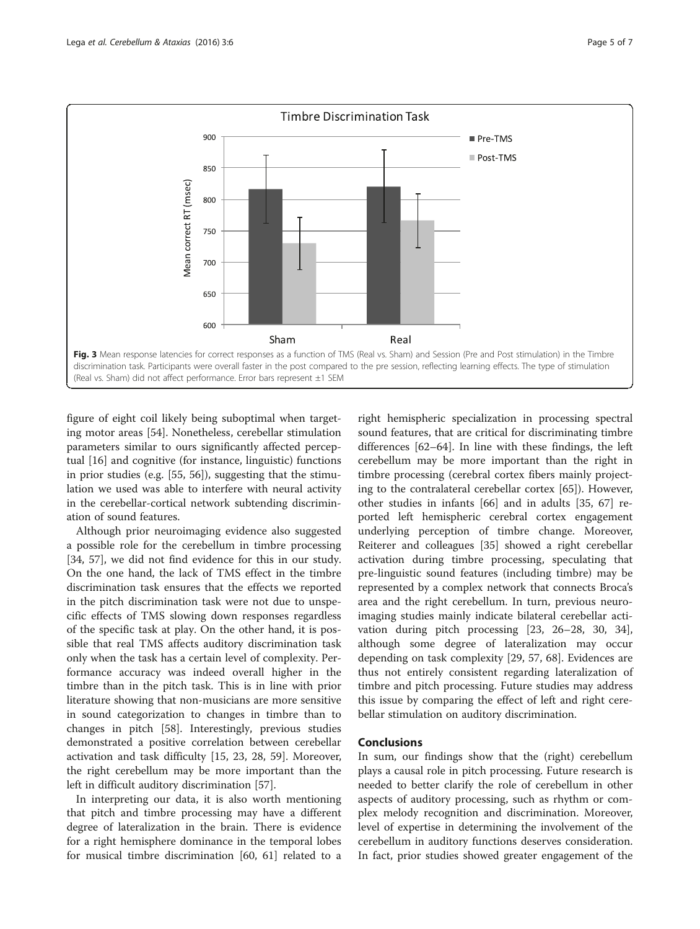<span id="page-4-0"></span>

figure of eight coil likely being suboptimal when targeting motor areas [[54\]](#page-6-0). Nonetheless, cerebellar stimulation parameters similar to ours significantly affected perceptual [\[16](#page-5-0)] and cognitive (for instance, linguistic) functions in prior studies (e.g. [[55, 56\]](#page-6-0)), suggesting that the stimulation we used was able to interfere with neural activity in the cerebellar-cortical network subtending discrimination of sound features.

Although prior neuroimaging evidence also suggested a possible role for the cerebellum in timbre processing [[34,](#page-5-0) [57](#page-6-0)], we did not find evidence for this in our study. On the one hand, the lack of TMS effect in the timbre discrimination task ensures that the effects we reported in the pitch discrimination task were not due to unspecific effects of TMS slowing down responses regardless of the specific task at play. On the other hand, it is possible that real TMS affects auditory discrimination task only when the task has a certain level of complexity. Performance accuracy was indeed overall higher in the timbre than in the pitch task. This is in line with prior literature showing that non-musicians are more sensitive in sound categorization to changes in timbre than to changes in pitch [\[58\]](#page-6-0). Interestingly, previous studies demonstrated a positive correlation between cerebellar activation and task difficulty [\[15](#page-5-0), [23](#page-5-0), [28](#page-5-0), [59\]](#page-6-0). Moreover, the right cerebellum may be more important than the left in difficult auditory discrimination [[57\]](#page-6-0).

In interpreting our data, it is also worth mentioning that pitch and timbre processing may have a different degree of lateralization in the brain. There is evidence for a right hemisphere dominance in the temporal lobes for musical timbre discrimination [[60, 61](#page-6-0)] related to a

right hemispheric specialization in processing spectral sound features, that are critical for discriminating timbre differences [[62](#page-6-0)–[64](#page-6-0)]. In line with these findings, the left cerebellum may be more important than the right in timbre processing (cerebral cortex fibers mainly projecting to the contralateral cerebellar cortex [[65\]](#page-6-0)). However, other studies in infants [\[66](#page-6-0)] and in adults [[35,](#page-5-0) [67](#page-6-0)] reported left hemispheric cerebral cortex engagement underlying perception of timbre change. Moreover, Reiterer and colleagues [[35\]](#page-5-0) showed a right cerebellar activation during timbre processing, speculating that pre-linguistic sound features (including timbre) may be represented by a complex network that connects Broca's area and the right cerebellum. In turn, previous neuroimaging studies mainly indicate bilateral cerebellar activation during pitch processing [\[23, 26](#page-5-0)–[28, 30](#page-5-0), [34](#page-5-0)], although some degree of lateralization may occur depending on task complexity [[29](#page-5-0), [57](#page-6-0), [68\]](#page-6-0). Evidences are thus not entirely consistent regarding lateralization of timbre and pitch processing. Future studies may address this issue by comparing the effect of left and right cerebellar stimulation on auditory discrimination.

## Conclusions

In sum, our findings show that the (right) cerebellum plays a causal role in pitch processing. Future research is needed to better clarify the role of cerebellum in other aspects of auditory processing, such as rhythm or complex melody recognition and discrimination. Moreover, level of expertise in determining the involvement of the cerebellum in auditory functions deserves consideration. In fact, prior studies showed greater engagement of the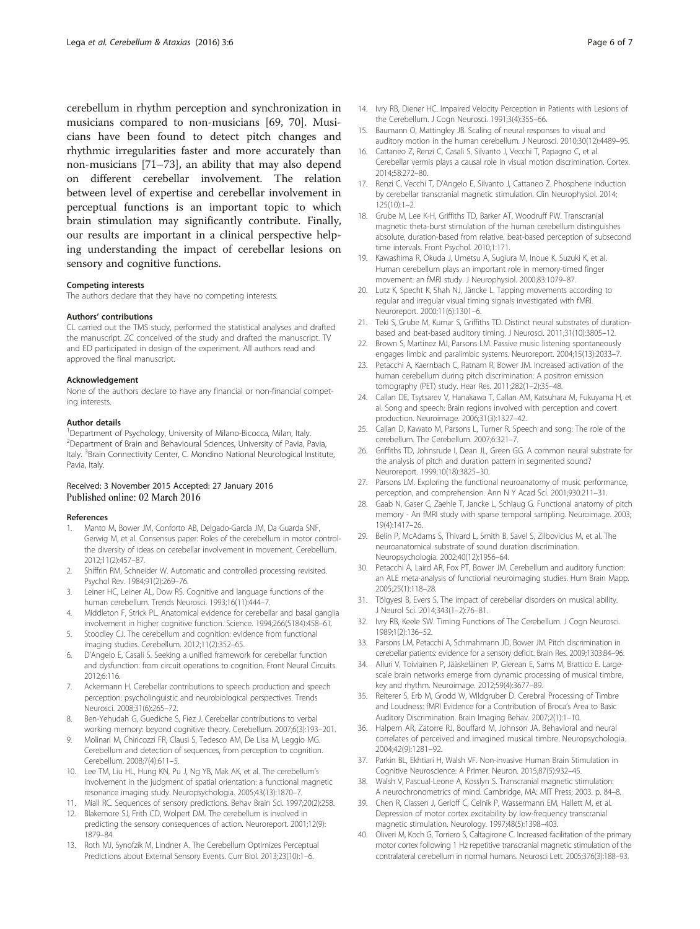<span id="page-5-0"></span>cerebellum in rhythm perception and synchronization in musicians compared to non-musicians [\[69, 70\]](#page-6-0). Musicians have been found to detect pitch changes and rhythmic irregularities faster and more accurately than non-musicians [[71](#page-6-0)–[73](#page-6-0)], an ability that may also depend on different cerebellar involvement. The relation between level of expertise and cerebellar involvement in perceptual functions is an important topic to which brain stimulation may significantly contribute. Finally, our results are important in a clinical perspective helping understanding the impact of cerebellar lesions on sensory and cognitive functions.

#### Competing interests

The authors declare that they have no competing interests.

#### Authors' contributions

CL carried out the TMS study, performed the statistical analyses and drafted the manuscript. ZC conceived of the study and drafted the manuscript. TV and ED participated in design of the experiment. All authors read and approved the final manuscript.

#### Acknowledgement

None of the authors declare to have any financial or non-financial competing interests.

#### Author details

<sup>1</sup>Department of Psychology, University of Milano-Bicocca, Milan, Italy. 2 Department of Brain and Behavioural Sciences, University of Pavia, Pavia, Italy. <sup>3</sup> Brain Connectivity Center, C. Mondino National Neurological Institute, Pavia, Italy.

#### Received: 3 November 2015 Accepted: 27 January 2016 Published online: 02 March 2016

#### References

- 1. Manto M, Bower JM, Conforto AB, Delgado-García JM, Da Guarda SNF, Gerwig M, et al. Consensus paper: Roles of the cerebellum in motor controlthe diversity of ideas on cerebellar involvement in movement. Cerebellum. 2012;11(2):457–87.
- 2. Shiffrin RM, Schneider W. Automatic and controlled processing revisited. Psychol Rev. 1984;91(2):269–76.
- Leiner HC, Leiner AL, Dow RS. Cognitive and language functions of the human cerebellum. Trends Neurosci. 1993;16(11):444–7.
- 4. Middleton F, Strick PL. Anatomical evidence for cerebellar and basal ganglia involvement in higher cognitive function. Science. 1994;266(5184):458–61.
- 5. Stoodley CJ. The cerebellum and cognition: evidence from functional imaging studies. Cerebellum. 2012;11(2):352–65.
- 6. D'Angelo E, Casali S. Seeking a unified framework for cerebellar function and dysfunction: from circuit operations to cognition. Front Neural Circuits. 2012;6:116.
- 7. Ackermann H. Cerebellar contributions to speech production and speech perception: psycholinguistic and neurobiological perspectives. Trends Neurosci. 2008;31(6):265–72.
- 8. Ben-Yehudah G, Guediche S, Fiez J. Cerebellar contributions to verbal working memory: beyond cognitive theory. Cerebellum. 2007;6(3):193–201.
- 9. Molinari M, Chiricozzi FR, Clausi S, Tedesco AM, De Lisa M, Leggio MG. Cerebellum and detection of sequences, from perception to cognition. Cerebellum. 2008;7(4):611–5.
- 10. Lee TM, Liu HL, Hung KN, Pu J, Ng YB, Mak AK, et al. The cerebellum's involvement in the judgment of spatial orientation: a functional magnetic resonance imaging study. Neuropsychologia. 2005;43(13):1870–7.
- 11. Miall RC. Sequences of sensory predictions. Behav Brain Sci. 1997;20(2):258.
- 12. Blakemore SJ, Frith CD, Wolpert DM. The cerebellum is involved in predicting the sensory consequences of action. Neuroreport. 2001;12(9): 1879–84.
- 13. Roth MJ, Synofzik M, Lindner A. The Cerebellum Optimizes Perceptual Predictions about External Sensory Events. Curr Biol. 2013;23(10):1–6.
- 14. Ivry RB, Diener HC. Impaired Velocity Perception in Patients with Lesions of the Cerebellum. J Cogn Neurosci. 1991;3(4):355–66.
- 15. Baumann O, Mattingley JB. Scaling of neural responses to visual and auditory motion in the human cerebellum. J Neurosci. 2010;30(12):4489–95.
- 16. Cattaneo Z, Renzi C, Casali S, Silvanto J, Vecchi T, Papagno C, et al. Cerebellar vermis plays a causal role in visual motion discrimination. Cortex. 2014;58:272–80.
- 17. Renzi C, Vecchi T, D'Angelo E, Silvanto J, Cattaneo Z. Phosphene induction by cerebellar transcranial magnetic stimulation. Clin Neurophysiol. 2014; 125(10):1–2.
- 18. Grube M, Lee K-H, Griffiths TD, Barker AT, Woodruff PW. Transcranial magnetic theta-burst stimulation of the human cerebellum distinguishes absolute, duration-based from relative, beat-based perception of subsecond time intervals. Front Psychol. 2010;1:171.
- 19. Kawashima R, Okuda J, Umetsu A, Sugiura M, Inoue K, Suzuki K, et al. Human cerebellum plays an important role in memory-timed finger movement: an fMRI study. J Neurophysiol. 2000;83:1079–87.
- 20. Lutz K, Specht K, Shah NJ, Jäncke L. Tapping movements according to regular and irregular visual timing signals investigated with fMRI. Neuroreport. 2000;11(6):1301–6.
- 21. Teki S, Grube M, Kumar S, Griffiths TD. Distinct neural substrates of durationbased and beat-based auditory timing. J Neurosci. 2011;31(10):3805–12.
- 22. Brown S, Martinez MJ, Parsons LM. Passive music listening spontaneously engages limbic and paralimbic systems. Neuroreport. 2004;15(13):2033–7.
- 23. Petacchi A, Kaernbach C, Ratnam R, Bower JM. Increased activation of the human cerebellum during pitch discrimination: A positron emission tomography (PET) study. Hear Res. 2011;282(1–2):35–48.
- 24. Callan DE, Tsytsarev V, Hanakawa T, Callan AM, Katsuhara M, Fukuyama H, et al. Song and speech: Brain regions involved with perception and covert production. Neuroimage. 2006;31(3):1327–42.
- 25. Callan D, Kawato M, Parsons L, Turner R. Speech and song: The role of the cerebellum. The Cerebellum. 2007;6:321–7.
- 26. Griffiths TD, Johnsrude I, Dean JL, Green GG. A common neural substrate for the analysis of pitch and duration pattern in segmented sound? Neuroreport. 1999;10(18):3825–30.
- 27. Parsons LM. Exploring the functional neuroanatomy of music performance, perception, and comprehension. Ann N Y Acad Sci. 2001;930:211–31.
- 28. Gaab N, Gaser C, Zaehle T, Jancke L, Schlaug G. Functional anatomy of pitch memory - An fMRI study with sparse temporal sampling. Neuroimage. 2003; 19(4):1417–26.
- 29. Belin P, McAdams S, Thivard L, Smith B, Savel S, Zilbovicius M, et al. The neuroanatomical substrate of sound duration discrimination. Neuropsychologia. 2002;40(12):1956–64.
- 30. Petacchi A, Laird AR, Fox PT, Bower JM. Cerebellum and auditory function: an ALE meta-analysis of functional neuroimaging studies. Hum Brain Mapp. 2005;25(1):118–28.
- 31. Tölgyesi B, Evers S. The impact of cerebellar disorders on musical ability. J Neurol Sci. 2014;343(1–2):76–81.
- 32. Ivry RB, Keele SW. Timing Functions of The Cerebellum. J Cogn Neurosci. 1989;1(2):136–52.
- 33. Parsons LM, Petacchi A, Schmahmann JD, Bower JM. Pitch discrimination in cerebellar patients: evidence for a sensory deficit. Brain Res. 2009;1303:84–96.
- 34. Alluri V, Toiviainen P, Jääskeläinen IP, Glerean E, Sams M, Brattico E. Largescale brain networks emerge from dynamic processing of musical timbre, key and rhythm. Neuroimage. 2012;59(4):3677–89.
- 35. Reiterer S, Erb M, Grodd W, Wildgruber D. Cerebral Processing of Timbre and Loudness: fMRI Evidence for a Contribution of Broca's Area to Basic Auditory Discrimination. Brain Imaging Behav. 2007;2(1):1–10.
- 36. Halpern AR, Zatorre RJ, Bouffard M, Johnson JA. Behavioral and neural correlates of perceived and imagined musical timbre. Neuropsychologia. 2004;42(9):1281–92.
- 37. Parkin BL, Ekhtiari H, Walsh VF. Non-invasive Human Brain Stimulation in Cognitive Neuroscience: A Primer. Neuron. 2015;87(5):932–45.
- 38. Walsh V, Pascual-Leone A, Kosslyn S. Transcranial magnetic stimulation: A neurochronometrics of mind. Cambridge, MA: MIT Press; 2003. p. 84–8.
- 39. Chen R, Classen J, Gerloff C, Celnik P, Wassermann EM, Hallett M, et al. Depression of motor cortex excitability by low-frequency transcranial magnetic stimulation. Neurology. 1997;48(5):1398–403.
- 40. Oliveri M, Koch G, Torriero S, Caltagirone C. Increased facilitation of the primary motor cortex following 1 Hz repetitive transcranial magnetic stimulation of the contralateral cerebellum in normal humans. Neurosci Lett. 2005;376(3):188–93.